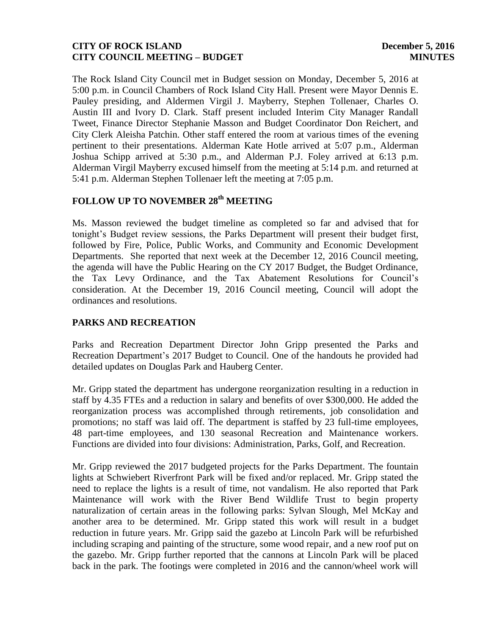The Rock Island City Council met in Budget session on Monday, December 5, 2016 at 5:00 p.m. in Council Chambers of Rock Island City Hall. Present were Mayor Dennis E. Pauley presiding, and Aldermen Virgil J. Mayberry, Stephen Tollenaer, Charles O. Austin III and Ivory D. Clark. Staff present included Interim City Manager Randall Tweet, Finance Director Stephanie Masson and Budget Coordinator Don Reichert, and City Clerk Aleisha Patchin. Other staff entered the room at various times of the evening pertinent to their presentations. Alderman Kate Hotle arrived at 5:07 p.m., Alderman Joshua Schipp arrived at 5:30 p.m., and Alderman P.J. Foley arrived at 6:13 p.m. Alderman Virgil Mayberry excused himself from the meeting at 5:14 p.m. and returned at 5:41 p.m. Alderman Stephen Tollenaer left the meeting at 7:05 p.m.

# **FOLLOW UP TO NOVEMBER 28th MEETING**

Ms. Masson reviewed the budget timeline as completed so far and advised that for tonight's Budget review sessions, the Parks Department will present their budget first, followed by Fire, Police, Public Works, and Community and Economic Development Departments. She reported that next week at the December 12, 2016 Council meeting, the agenda will have the Public Hearing on the CY 2017 Budget, the Budget Ordinance, the Tax Levy Ordinance, and the Tax Abatement Resolutions for Council's consideration. At the December 19, 2016 Council meeting, Council will adopt the ordinances and resolutions.

# **PARKS AND RECREATION**

Parks and Recreation Department Director John Gripp presented the Parks and Recreation Department's 2017 Budget to Council. One of the handouts he provided had detailed updates on Douglas Park and Hauberg Center.

Mr. Gripp stated the department has undergone reorganization resulting in a reduction in staff by 4.35 FTEs and a reduction in salary and benefits of over \$300,000. He added the reorganization process was accomplished through retirements, job consolidation and promotions; no staff was laid off. The department is staffed by 23 full-time employees, 48 part-time employees, and 130 seasonal Recreation and Maintenance workers. Functions are divided into four divisions: Administration, Parks, Golf, and Recreation.

Mr. Gripp reviewed the 2017 budgeted projects for the Parks Department. The fountain lights at Schwiebert Riverfront Park will be fixed and/or replaced. Mr. Gripp stated the need to replace the lights is a result of time, not vandalism. He also reported that Park Maintenance will work with the River Bend Wildlife Trust to begin property naturalization of certain areas in the following parks: Sylvan Slough, Mel McKay and another area to be determined. Mr. Gripp stated this work will result in a budget reduction in future years. Mr. Gripp said the gazebo at Lincoln Park will be refurbished including scraping and painting of the structure, some wood repair, and a new roof put on the gazebo. Mr. Gripp further reported that the cannons at Lincoln Park will be placed back in the park. The footings were completed in 2016 and the cannon/wheel work will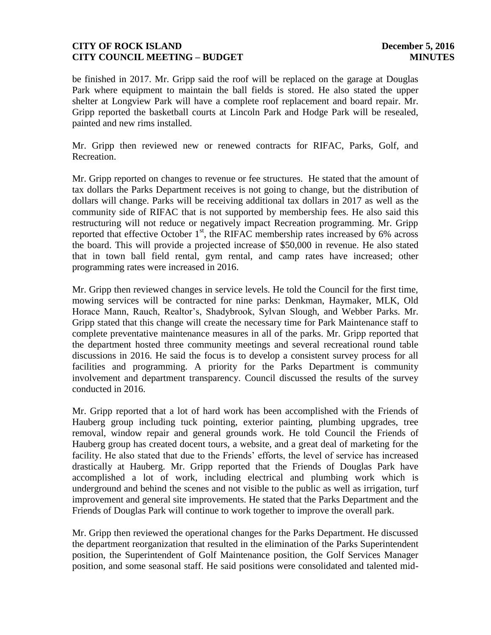be finished in 2017. Mr. Gripp said the roof will be replaced on the garage at Douglas Park where equipment to maintain the ball fields is stored. He also stated the upper shelter at Longview Park will have a complete roof replacement and board repair. Mr. Gripp reported the basketball courts at Lincoln Park and Hodge Park will be resealed, painted and new rims installed.

Mr. Gripp then reviewed new or renewed contracts for RIFAC, Parks, Golf, and Recreation.

Mr. Gripp reported on changes to revenue or fee structures. He stated that the amount of tax dollars the Parks Department receives is not going to change, but the distribution of dollars will change. Parks will be receiving additional tax dollars in 2017 as well as the community side of RIFAC that is not supported by membership fees. He also said this restructuring will not reduce or negatively impact Recreation programming. Mr. Gripp reported that effective October  $1<sup>st</sup>$ , the RIFAC membership rates increased by 6% across the board. This will provide a projected increase of \$50,000 in revenue. He also stated that in town ball field rental, gym rental, and camp rates have increased; other programming rates were increased in 2016.

Mr. Gripp then reviewed changes in service levels. He told the Council for the first time, mowing services will be contracted for nine parks: Denkman, Haymaker, MLK, Old Horace Mann, Rauch, Realtor's, Shadybrook, Sylvan Slough, and Webber Parks. Mr. Gripp stated that this change will create the necessary time for Park Maintenance staff to complete preventative maintenance measures in all of the parks. Mr. Gripp reported that the department hosted three community meetings and several recreational round table discussions in 2016. He said the focus is to develop a consistent survey process for all facilities and programming. A priority for the Parks Department is community involvement and department transparency. Council discussed the results of the survey conducted in 2016.

Mr. Gripp reported that a lot of hard work has been accomplished with the Friends of Hauberg group including tuck pointing, exterior painting, plumbing upgrades, tree removal, window repair and general grounds work. He told Council the Friends of Hauberg group has created docent tours, a website, and a great deal of marketing for the facility. He also stated that due to the Friends' efforts, the level of service has increased drastically at Hauberg. Mr. Gripp reported that the Friends of Douglas Park have accomplished a lot of work, including electrical and plumbing work which is underground and behind the scenes and not visible to the public as well as irrigation, turf improvement and general site improvements. He stated that the Parks Department and the Friends of Douglas Park will continue to work together to improve the overall park.

Mr. Gripp then reviewed the operational changes for the Parks Department. He discussed the department reorganization that resulted in the elimination of the Parks Superintendent position, the Superintendent of Golf Maintenance position, the Golf Services Manager position, and some seasonal staff. He said positions were consolidated and talented mid-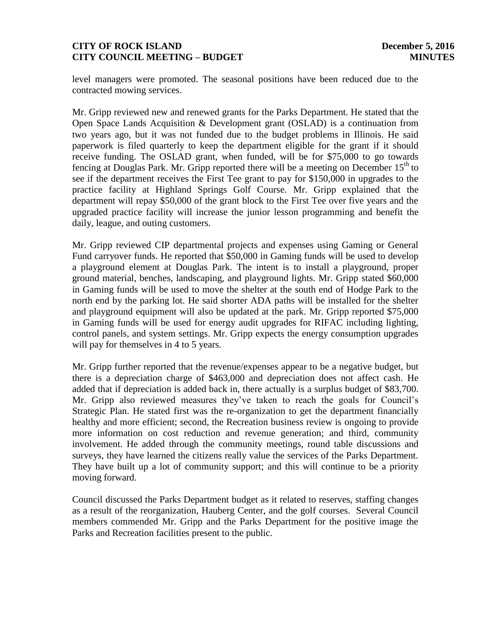level managers were promoted. The seasonal positions have been reduced due to the contracted mowing services.

Mr. Gripp reviewed new and renewed grants for the Parks Department. He stated that the Open Space Lands Acquisition & Development grant (OSLAD) is a continuation from two years ago, but it was not funded due to the budget problems in Illinois. He said paperwork is filed quarterly to keep the department eligible for the grant if it should receive funding. The OSLAD grant, when funded, will be for \$75,000 to go towards fencing at Douglas Park. Mr. Gripp reported there will be a meeting on December  $15<sup>th</sup>$  to see if the department receives the First Tee grant to pay for \$150,000 in upgrades to the practice facility at Highland Springs Golf Course. Mr. Gripp explained that the department will repay \$50,000 of the grant block to the First Tee over five years and the upgraded practice facility will increase the junior lesson programming and benefit the daily, league, and outing customers.

Mr. Gripp reviewed CIP departmental projects and expenses using Gaming or General Fund carryover funds. He reported that \$50,000 in Gaming funds will be used to develop a playground element at Douglas Park. The intent is to install a playground, proper ground material, benches, landscaping, and playground lights. Mr. Gripp stated \$60,000 in Gaming funds will be used to move the shelter at the south end of Hodge Park to the north end by the parking lot. He said shorter ADA paths will be installed for the shelter and playground equipment will also be updated at the park. Mr. Gripp reported \$75,000 in Gaming funds will be used for energy audit upgrades for RIFAC including lighting, control panels, and system settings. Mr. Gripp expects the energy consumption upgrades will pay for themselves in 4 to 5 years.

Mr. Gripp further reported that the revenue/expenses appear to be a negative budget, but there is a depreciation charge of \$463,000 and depreciation does not affect cash. He added that if depreciation is added back in, there actually is a surplus budget of \$83,700. Mr. Gripp also reviewed measures they've taken to reach the goals for Council's Strategic Plan. He stated first was the re-organization to get the department financially healthy and more efficient; second, the Recreation business review is ongoing to provide more information on cost reduction and revenue generation; and third, community involvement. He added through the community meetings, round table discussions and surveys, they have learned the citizens really value the services of the Parks Department. They have built up a lot of community support; and this will continue to be a priority moving forward.

Council discussed the Parks Department budget as it related to reserves, staffing changes as a result of the reorganization, Hauberg Center, and the golf courses. Several Council members commended Mr. Gripp and the Parks Department for the positive image the Parks and Recreation facilities present to the public.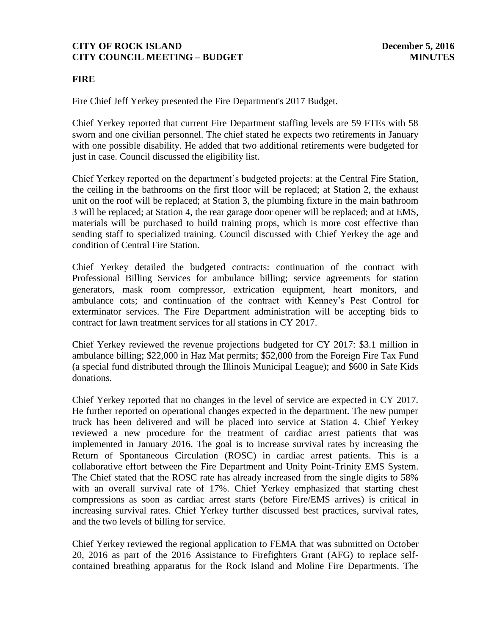# **FIRE**

Fire Chief Jeff Yerkey presented the Fire Department's 2017 Budget.

Chief Yerkey reported that current Fire Department staffing levels are 59 FTEs with 58 sworn and one civilian personnel. The chief stated he expects two retirements in January with one possible disability. He added that two additional retirements were budgeted for just in case. Council discussed the eligibility list.

Chief Yerkey reported on the department's budgeted projects: at the Central Fire Station, the ceiling in the bathrooms on the first floor will be replaced; at Station 2, the exhaust unit on the roof will be replaced; at Station 3, the plumbing fixture in the main bathroom 3 will be replaced; at Station 4, the rear garage door opener will be replaced; and at EMS, materials will be purchased to build training props, which is more cost effective than sending staff to specialized training. Council discussed with Chief Yerkey the age and condition of Central Fire Station.

Chief Yerkey detailed the budgeted contracts: continuation of the contract with Professional Billing Services for ambulance billing; service agreements for station generators, mask room compressor, extrication equipment, heart monitors, and ambulance cots; and continuation of the contract with Kenney's Pest Control for exterminator services. The Fire Department administration will be accepting bids to contract for lawn treatment services for all stations in CY 2017.

Chief Yerkey reviewed the revenue projections budgeted for CY 2017: \$3.1 million in ambulance billing; \$22,000 in Haz Mat permits; \$52,000 from the Foreign Fire Tax Fund (a special fund distributed through the Illinois Municipal League); and \$600 in Safe Kids donations.

Chief Yerkey reported that no changes in the level of service are expected in CY 2017. He further reported on operational changes expected in the department. The new pumper truck has been delivered and will be placed into service at Station 4. Chief Yerkey reviewed a new procedure for the treatment of cardiac arrest patients that was implemented in January 2016. The goal is to increase survival rates by increasing the Return of Spontaneous Circulation (ROSC) in cardiac arrest patients. This is a collaborative effort between the Fire Department and Unity Point-Trinity EMS System. The Chief stated that the ROSC rate has already increased from the single digits to 58% with an overall survival rate of 17%. Chief Yerkey emphasized that starting chest compressions as soon as cardiac arrest starts (before Fire/EMS arrives) is critical in increasing survival rates. Chief Yerkey further discussed best practices, survival rates, and the two levels of billing for service.

Chief Yerkey reviewed the regional application to FEMA that was submitted on October 20, 2016 as part of the 2016 Assistance to Firefighters Grant (AFG) to replace selfcontained breathing apparatus for the Rock Island and Moline Fire Departments. The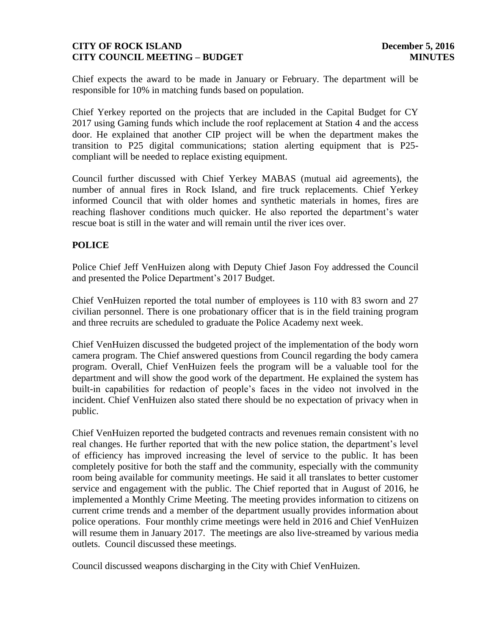Chief expects the award to be made in January or February. The department will be responsible for 10% in matching funds based on population.

Chief Yerkey reported on the projects that are included in the Capital Budget for CY 2017 using Gaming funds which include the roof replacement at Station 4 and the access door. He explained that another CIP project will be when the department makes the transition to P25 digital communications; station alerting equipment that is P25 compliant will be needed to replace existing equipment.

Council further discussed with Chief Yerkey MABAS (mutual aid agreements), the number of annual fires in Rock Island, and fire truck replacements. Chief Yerkey informed Council that with older homes and synthetic materials in homes, fires are reaching flashover conditions much quicker. He also reported the department's water rescue boat is still in the water and will remain until the river ices over.

# **POLICE**

Police Chief Jeff VenHuizen along with Deputy Chief Jason Foy addressed the Council and presented the Police Department's 2017 Budget.

Chief VenHuizen reported the total number of employees is 110 with 83 sworn and 27 civilian personnel. There is one probationary officer that is in the field training program and three recruits are scheduled to graduate the Police Academy next week.

Chief VenHuizen discussed the budgeted project of the implementation of the body worn camera program. The Chief answered questions from Council regarding the body camera program. Overall, Chief VenHuizen feels the program will be a valuable tool for the department and will show the good work of the department. He explained the system has built-in capabilities for redaction of people's faces in the video not involved in the incident. Chief VenHuizen also stated there should be no expectation of privacy when in public.

Chief VenHuizen reported the budgeted contracts and revenues remain consistent with no real changes. He further reported that with the new police station, the department's level of efficiency has improved increasing the level of service to the public. It has been completely positive for both the staff and the community, especially with the community room being available for community meetings. He said it all translates to better customer service and engagement with the public. The Chief reported that in August of 2016, he implemented a Monthly Crime Meeting. The meeting provides information to citizens on current crime trends and a member of the department usually provides information about police operations. Four monthly crime meetings were held in 2016 and Chief VenHuizen will resume them in January 2017. The meetings are also live-streamed by various media outlets. Council discussed these meetings.

Council discussed weapons discharging in the City with Chief VenHuizen.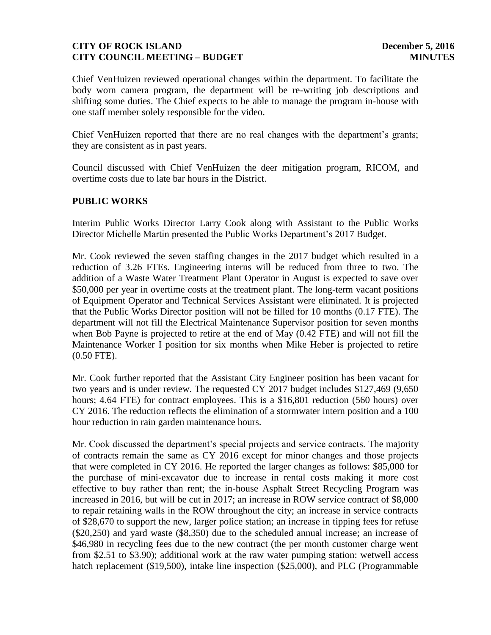Chief VenHuizen reviewed operational changes within the department. To facilitate the body worn camera program, the department will be re-writing job descriptions and shifting some duties. The Chief expects to be able to manage the program in-house with one staff member solely responsible for the video.

Chief VenHuizen reported that there are no real changes with the department's grants; they are consistent as in past years.

Council discussed with Chief VenHuizen the deer mitigation program, RICOM, and overtime costs due to late bar hours in the District.

#### **PUBLIC WORKS**

Interim Public Works Director Larry Cook along with Assistant to the Public Works Director Michelle Martin presented the Public Works Department's 2017 Budget.

Mr. Cook reviewed the seven staffing changes in the 2017 budget which resulted in a reduction of 3.26 FTEs. Engineering interns will be reduced from three to two. The addition of a Waste Water Treatment Plant Operator in August is expected to save over \$50,000 per year in overtime costs at the treatment plant. The long-term vacant positions of Equipment Operator and Technical Services Assistant were eliminated. It is projected that the Public Works Director position will not be filled for 10 months (0.17 FTE). The department will not fill the Electrical Maintenance Supervisor position for seven months when Bob Payne is projected to retire at the end of May (0.42 FTE) and will not fill the Maintenance Worker I position for six months when Mike Heber is projected to retire (0.50 FTE).

Mr. Cook further reported that the Assistant City Engineer position has been vacant for two years and is under review. The requested CY 2017 budget includes \$127,469 (9,650 hours; 4.64 FTE) for contract employees. This is a \$16,801 reduction (560 hours) over CY 2016. The reduction reflects the elimination of a stormwater intern position and a 100 hour reduction in rain garden maintenance hours.

Mr. Cook discussed the department's special projects and service contracts. The majority of contracts remain the same as CY 2016 except for minor changes and those projects that were completed in CY 2016. He reported the larger changes as follows: \$85,000 for the purchase of mini-excavator due to increase in rental costs making it more cost effective to buy rather than rent; the in-house Asphalt Street Recycling Program was increased in 2016, but will be cut in 2017; an increase in ROW service contract of \$8,000 to repair retaining walls in the ROW throughout the city; an increase in service contracts of \$28,670 to support the new, larger police station; an increase in tipping fees for refuse (\$20,250) and yard waste (\$8,350) due to the scheduled annual increase; an increase of \$46,980 in recycling fees due to the new contract (the per month customer charge went from \$2.51 to \$3.90); additional work at the raw water pumping station: wetwell access hatch replacement (\$19,500), intake line inspection (\$25,000), and PLC (Programmable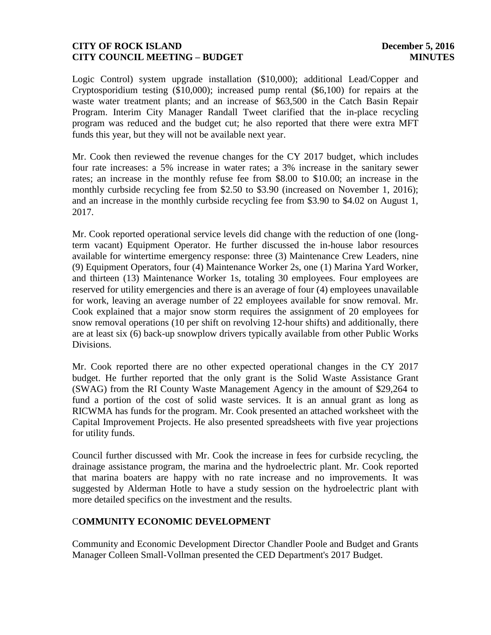Logic Control) system upgrade installation (\$10,000); additional Lead/Copper and Cryptosporidium testing (\$10,000); increased pump rental (\$6,100) for repairs at the waste water treatment plants; and an increase of \$63,500 in the Catch Basin Repair Program. Interim City Manager Randall Tweet clarified that the in-place recycling program was reduced and the budget cut; he also reported that there were extra MFT funds this year, but they will not be available next year.

Mr. Cook then reviewed the revenue changes for the CY 2017 budget, which includes four rate increases: a 5% increase in water rates; a 3% increase in the sanitary sewer rates; an increase in the monthly refuse fee from \$8.00 to \$10.00; an increase in the monthly curbside recycling fee from \$2.50 to \$3.90 (increased on November 1, 2016); and an increase in the monthly curbside recycling fee from \$3.90 to \$4.02 on August 1, 2017.

Mr. Cook reported operational service levels did change with the reduction of one (longterm vacant) Equipment Operator. He further discussed the in-house labor resources available for wintertime emergency response: three (3) Maintenance Crew Leaders, nine (9) Equipment Operators, four (4) Maintenance Worker 2s, one (1) Marina Yard Worker, and thirteen (13) Maintenance Worker 1s, totaling 30 employees. Four employees are reserved for utility emergencies and there is an average of four (4) employees unavailable for work, leaving an average number of 22 employees available for snow removal. Mr. Cook explained that a major snow storm requires the assignment of 20 employees for snow removal operations (10 per shift on revolving 12-hour shifts) and additionally, there are at least six (6) back-up snowplow drivers typically available from other Public Works Divisions.

Mr. Cook reported there are no other expected operational changes in the CY 2017 budget. He further reported that the only grant is the Solid Waste Assistance Grant (SWAG) from the RI County Waste Management Agency in the amount of \$29,264 to fund a portion of the cost of solid waste services. It is an annual grant as long as RICWMA has funds for the program. Mr. Cook presented an attached worksheet with the Capital Improvement Projects. He also presented spreadsheets with five year projections for utility funds.

Council further discussed with Mr. Cook the increase in fees for curbside recycling, the drainage assistance program, the marina and the hydroelectric plant. Mr. Cook reported that marina boaters are happy with no rate increase and no improvements. It was suggested by Alderman Hotle to have a study session on the hydroelectric plant with more detailed specifics on the investment and the results.

#### C**OMMUNITY ECONOMIC DEVELOPMENT**

Community and Economic Development Director Chandler Poole and Budget and Grants Manager Colleen Small-Vollman presented the CED Department's 2017 Budget.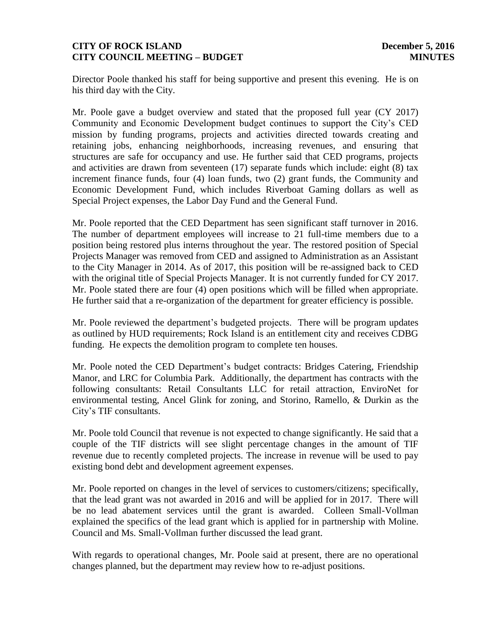Director Poole thanked his staff for being supportive and present this evening. He is on his third day with the City.

Mr. Poole gave a budget overview and stated that the proposed full year (CY 2017) Community and Economic Development budget continues to support the City's CED mission by funding programs, projects and activities directed towards creating and retaining jobs, enhancing neighborhoods, increasing revenues, and ensuring that structures are safe for occupancy and use. He further said that CED programs, projects and activities are drawn from seventeen (17) separate funds which include: eight (8) tax increment finance funds, four (4) loan funds, two (2) grant funds, the Community and Economic Development Fund, which includes Riverboat Gaming dollars as well as Special Project expenses, the Labor Day Fund and the General Fund.

Mr. Poole reported that the CED Department has seen significant staff turnover in 2016. The number of department employees will increase to 21 full-time members due to a position being restored plus interns throughout the year. The restored position of Special Projects Manager was removed from CED and assigned to Administration as an Assistant to the City Manager in 2014. As of 2017, this position will be re-assigned back to CED with the original title of Special Projects Manager. It is not currently funded for CY 2017. Mr. Poole stated there are four (4) open positions which will be filled when appropriate. He further said that a re-organization of the department for greater efficiency is possible.

Mr. Poole reviewed the department's budgeted projects. There will be program updates as outlined by HUD requirements; Rock Island is an entitlement city and receives CDBG funding. He expects the demolition program to complete ten houses.

Mr. Poole noted the CED Department's budget contracts: Bridges Catering, Friendship Manor, and LRC for Columbia Park. Additionally, the department has contracts with the following consultants: Retail Consultants LLC for retail attraction, EnviroNet for environmental testing, Ancel Glink for zoning, and Storino, Ramello, & Durkin as the City's TIF consultants.

Mr. Poole told Council that revenue is not expected to change significantly. He said that a couple of the TIF districts will see slight percentage changes in the amount of TIF revenue due to recently completed projects. The increase in revenue will be used to pay existing bond debt and development agreement expenses.

Mr. Poole reported on changes in the level of services to customers/citizens; specifically, that the lead grant was not awarded in 2016 and will be applied for in 2017. There will be no lead abatement services until the grant is awarded. Colleen Small-Vollman explained the specifics of the lead grant which is applied for in partnership with Moline. Council and Ms. Small-Vollman further discussed the lead grant.

With regards to operational changes, Mr. Poole said at present, there are no operational changes planned, but the department may review how to re-adjust positions.